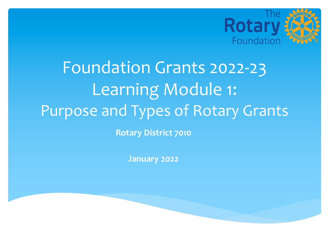

# **Rotary District 7010** Foundation Grants 2022-23 Learning Module 1: Purpose and Types of Rotary Grants

**January 2022**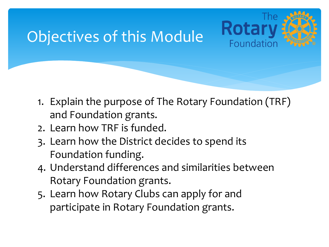### Objectives of this Module



- 1. Explain the purpose of The Rotary Foundation (TRF) and Foundation grants.
- 2. Learn how TRF is funded.
- 3. Learn how the District decides to spend its Foundation funding.
- 4. Understand differences and similarities between Rotary Foundation grants.
- 5. Learn how Rotary Clubs can apply for and participate in Rotary Foundation grants.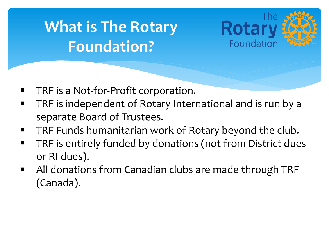## **What is The Rotary Foundation?**



- TRF is a Not-for-Profit corporation.
- **TRF is independent of Rotary International and is run by a** separate Board of Trustees.
- TRF Funds humanitarian work of Rotary beyond the club.
- TRF is entirely funded by donations (not from District dues or RI dues).
- All donations from Canadian clubs are made through TRF (Canada).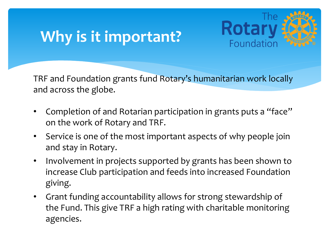### **Why is it important?**



TRF and Foundation grants fund Rotary's humanitarian work locally and across the globe.

- Completion of and Rotarian participation in grants puts a "face" on the work of Rotary and TRF.
- Service is one of the most important aspects of why people join and stay in Rotary.
- Involvement in projects supported by grants has been shown to increase Club participation and feeds into increased Foundation giving.
- Grant funding accountability allows for strong stewardship of the Fund. This give TRF a high rating with charitable monitoring agencies.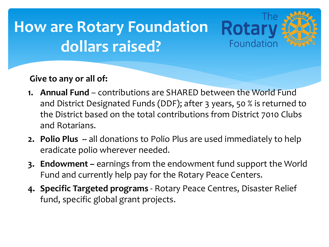### **How are Rotary Foundation dollars raised?**



**1. Annual Fund** – contributions are SHARED between the World Fund and District Designated Funds (DDF); after 3 years, 50 % is returned to the District based on the total contributions from District 7010 Clubs and Rotarians.

Rota

Foundatior

- **2. Polio Plus --** all donations to Polio Plus are used immediately to help eradicate polio wherever needed.
- **3. Endowment –** earnings from the endowment fund support the World Fund and currently help pay for the Rotary Peace Centers.
- **4. Specific Targeted programs**  Rotary Peace Centres, Disaster Relief fund, specific global grant projects.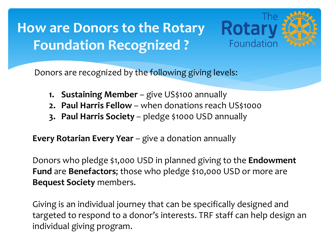### **How are Donors to the Rotary Foundation Recognized ?**



Donors are recognized by the following giving levels:

- 1. **Sustaining Member** give US\$100 annually
- **2. Paul Harris Fellow**  when donations reach US\$1000
- **3. Paul Harris Society**  pledge \$1000 USD annually

**Every Rotarian Every Year** – give a donation annually

Donors who pledge \$1,000 USD in planned giving to the **Endowment Fund** are **Benefactors**; those who pledge \$10,000 USD or more are **Bequest Society** members.

Giving is an individual journey that can be specifically designed and targeted to respond to a donor's interests. TRF staff can help design an individual giving program.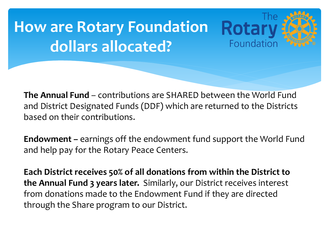## **How are Rotary Foundation dollars allocated?**

**The Annual Fund** – contributions are SHARED between the World Fund and District Designated Funds (DDF) which are returned to the Districts based on their contributions.

Rota

Foundation

**Endowment –** earnings off the endowment fund support the World Fund and help pay for the Rotary Peace Centers.

**Each District receives 50% of all donations from within the District to the Annual Fund 3 years later.** Similarly, our District receives interest from donations made to the Endowment Fund if they are directed through the Share program to our District.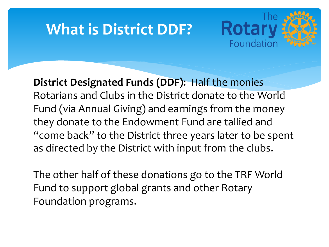### **What is District DDF?**



**District Designated Funds (DDF)**: Half the monies Rotarians and Clubs in the District donate to the World Fund (via Annual Giving) and earnings from the money they donate to the Endowment Fund are tallied and "come back" to the District three years later to be spent as directed by the District with input from the clubs.

The other half of these donations go to the TRF World Fund to support global grants and other Rotary Foundation programs.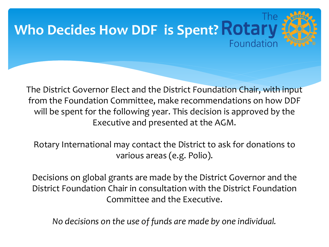

The District Governor Elect and the District Foundation Chair, with input from the Foundation Committee, make recommendations on how DDF will be spent for the following year. This decision is approved by the Executive and presented at the AGM.

Rotary International may contact the District to ask for donations to various areas (e.g. Polio).

Decisions on global grants are made by the District Governor and the District Foundation Chair in consultation with the District Foundation Committee and the Executive.

*No decisions on the use of funds are made by one individual.*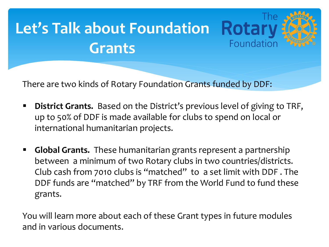# **Let's Talk about Foundation Grants**

There are two kinds of Rotary Foundation Grants funded by DDF:

**• District Grants.** Based on the District's previous level of giving to TRF, up to 50% of DDF is made available for clubs to spend on local or international humanitarian projects.

Foundation

§ **Global Grants.** These humanitarian grants represent a partnership between a minimum of two Rotary clubs in two countries/districts. Club cash from 7010 clubs is "matched" to a set limit with DDF . The DDF funds are "matched" by TRF from the World Fund to fund these grants.

You will learn more about each of these Grant types in future modules and in various documents.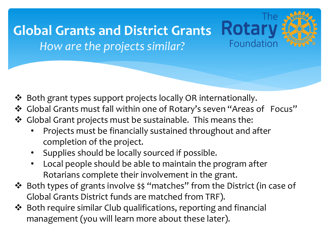### **Global Grants and District Grants** *How are the projects similar?*

- v Both grant types support projects locally OR internationally.
- v Global Grants must fall within one of Rotary's seven "Areas of Focus"

**Rotar** 

Foundation

- v Global Grant projects must be sustainable. This means the:
	- Projects must be financially sustained throughout and after completion of the project.
	- Supplies should be locally sourced if possible.
	- Local people should be able to maintain the program after Rotarians complete their involvement in the grant.
- v Both types of grants involve \$\$ "matches" from the District (in case of Global Grants District funds are matched from TRF).
- $\clubsuit$  Both require similar Club qualifications, reporting and financial management (you will learn more about these later).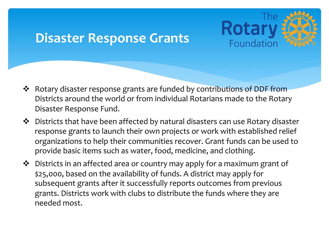#### **Disaster Response Grants**



- **Ex** Rotary disaster response grants are funded by contributions of DDF from Districts around the world or from individual Rotarians made to the Rotary Disaster Response Fund.
- $\clubsuit$  Districts that have been affected by natural disasters can use Rotary disaster response grants to launch their own projects or work with established relief organizations to help their communities recover. Grant funds can be used to provide basic items such as water, food, medicine, and clothing.
- $\clubsuit$  Districts in an affected area or country may apply for a maximum grant of \$25,000, based on the availability of funds. A district may apply for subsequent grants after it successfully reports outcomes from previous grants. Districts work with clubs to distribute the funds where they are needed most.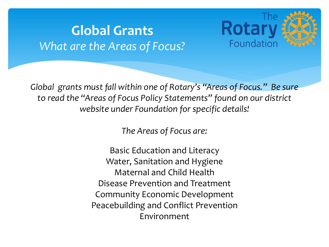#### **Global Grants** *What are the Areas of Focus?*



*Global grants must fall within one of Rotary's "Areas of Focus." Be sure to read the "Areas of Focus Policy Statements" found on our district website under Foundation for specific details!* 

*The Areas of Focus are:*

Basic Education and Literacy Water, Sanitation and Hygiene Maternal and Child Health Disease Prevention and Treatment Community Economic Development Peacebuilding and Conflict Prevention Environment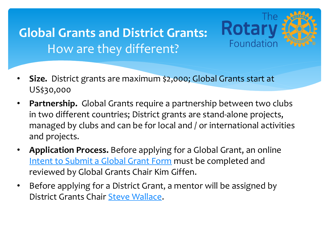#### **Global Grants and District Grants:**  [How are they different](https://form.jotform.com/ridistrict7010/intent-to-submit-global-grant-form)?

• **Size.** District grants [are maximum](mailto:steve.wallace@rogers.com) \$2,000; Global Grants start at US\$30,000

**The** 

**Rotary** 

Foundation

- Partnership. Global Grants require a partnership between two cl in two different countries; District grants are stand-alone projects managed by clubs and can be for local and / or international activ and projects.
- **Application Process.** Before applying for a Global Grant, an online Intent to Submit a Global Grant Form must be completed and reviewed by Global Grants Chair Kim Giffen.
- Before applying for a District Grant, a mentor will be assigned by District Grants Chair Steve Wallace.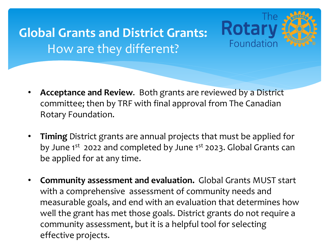### **Global Grants and District Grants:**  How are they different?



- **Acceptance and Review**. Both grants are reviewed by a District committee; then by TRF with final approval from The Canadian Rotary Foundation.
- **Timing** District grants are annual projects that must be applied for by June 1<sup>st</sup> 2022 and completed by June 1<sup>st</sup> 2023. Global Grants can be applied for at any time.
- **Community assessment and evaluation.** Global Grants MUST start with a comprehensive assessment of community needs and measurable goals, and end with an evaluation that determines how well the grant has met those goals. District grants do not require a community assessment, but it is a helpful tool for selecting effective projects.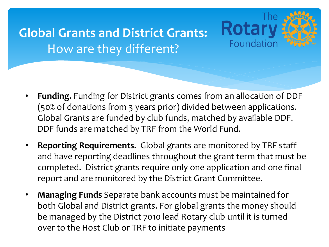### **Global Grants and District Grants:**  How are they different?



- **Funding.** Funding for District grants comes from an allocation of DDF (50% of donations from 3 years prior) divided between applications. Global Grants are funded by club funds, matched by available DDF. DDF funds are matched by TRF from the World Fund.
- **Reporting Requirements**. Global grants are monitored by TRF staff and have reporting deadlines throughout the grant term that must be completed. District grants require only one application and one final report and are monitored by the District Grant Committee.
- **Managing Funds** Separate bank accounts must be maintained for both Global and District grants. For global grants the money should be managed by the District 7010 lead Rotary club until it is turned over to the Host Club or TRF to initiate payments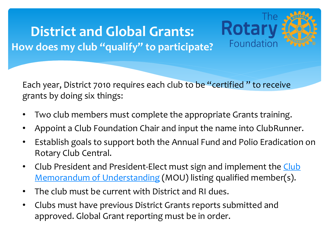#### **District and Global Grants: How [does my club "qualify" to participate?](https://form.jotform.com/ridistrict7010/MOU)**

Each year, District 7010 requires each club to be "certified" to rece grants by doing six things:

**The** 

Rotarv

Foundation

- Two club members must complete the appropriate Grants training.
- Appoint a Club Foundation Chair and input the name into ClubR
- Establish goals to support both the Annual Fund and Polio Eradi Rotary Club Central.
- Club President and President-Elect must sign and implement the Memorandum of Understanding (MOU) listing qualified member
- The club must be current with District and RI dues.
- Clubs must have previous District Grants reports submitted and approved. Global Grant reporting must be in order.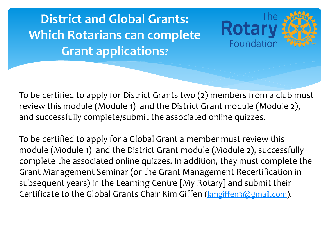**District and Global Grants: Which Rotarians can complete Grant applications?**

To be certified to apply for District Grants two (2) members from a c review this module (Module 1) and the District Grant module (Modu and successfully complete/submit the associated online quizzes.

**The** 

**Rotary** 

Foundation

To be certified to apply for a Global Grant a member must review this module (Module 1) and the District Grant module (Module 2), succe complete the associated online quizzes. In addition, they must comp Grant Management Seminar (or the Grant Management Recertificat subsequent years) in the Learning Centre  $[My Rotary]$  and submit the Certificate to the Global Grants Chair Kim Giffen (kmgiffen3@gmail.com)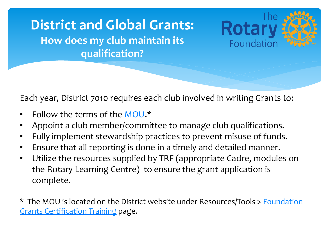#### **District and Global Grants: How does my club maintain its qualification?**

Each year, District 7010 requires each club involved in writing Grants

**The** 

**Rotary** 

Foundation

- Follow the terms of the MOU.\*
- Appoint a club member/committee to manage club qualifications
- Fully implement stewardship practices to prevent misuse of fund
- Ensure that all reporting is done in a timely and detailed manner.
- Utilize the resources supplied by TRF (appropriate Cadre, module the Rotary Learning Centre) to ensure the grant application is complete.

\* The MOU is located on the District website under Resources/Tools > Foun Grants Certification Training page.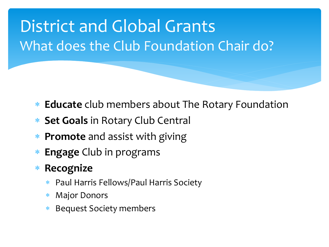# District and Global Grants What does the Club Foundation Chair do?

- \* **Educate** club members about The Rotary Foundation
- \* **Set Goals** in Rotary Club Central
- \* **Promote** and assist with giving
- **Engage** Club in programs
- \* **Recognize** 
	- Paul Harris Fellows/Paul Harris Society
	- **Major Donors**
	- **Bequest Society members**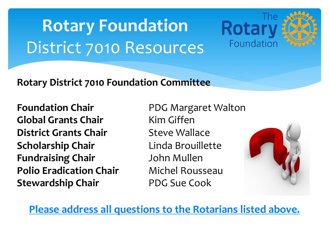# **Rotary Foundation**  District 7010 Resources

#### **Rotary District 7010 Foundation Committee**

**Foundation Chair PDG Margaret Walton Global Grants Chair** Kim Giffen **District Grants Chair** Steve Wallace **Scholarship Chair Linda Brouillette Fundraising Chair** John Mullen **Polio Eradication Chair** Michel Rousseau **Stewardship Chair** PDG Sue Cook



The:

**Rotar** 

Foundation

**Please address all questions to the Rotarians listed about**